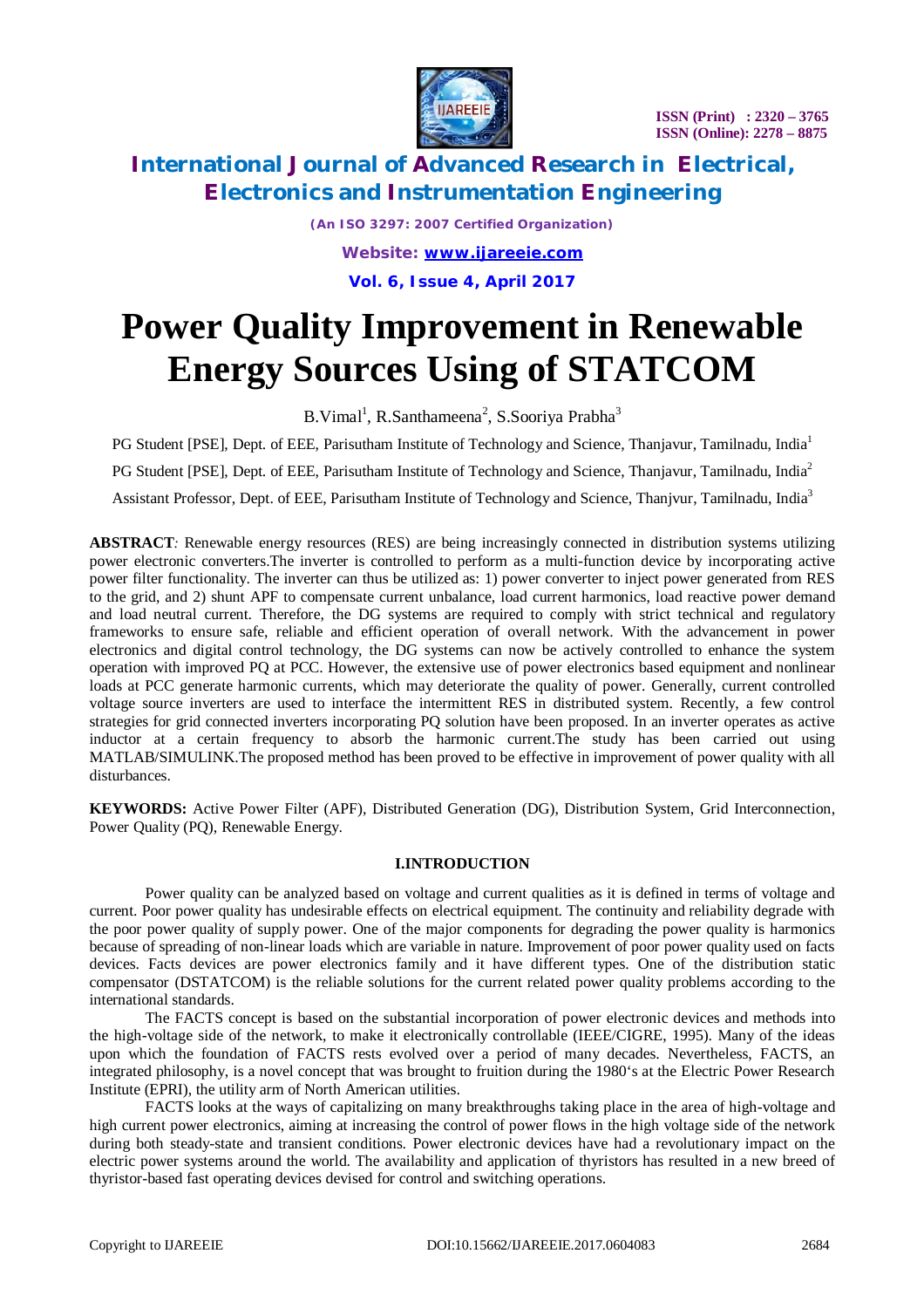

**ISSN (Print) : 2320 – 3765 ISSN (Online): 2278 – 8875**

# **International Journal of Advanced Research in Electrical, Electronics and Instrumentation Engineering**

*(An ISO 3297: 2007 Certified Organization) Website: [www.ijareeie.com](http://www.ijareeie.com)* **Vol. 6, Issue 4, April 2017**

# **Power Quality Improvement in Renewable Energy Sources Using of STATCOM**

B.Vimal<sup>1</sup>, R.Santhameena<sup>2</sup>, S.Sooriya Prabha<sup>3</sup>

PG Student [PSE], Dept. of EEE, Parisutham Institute of Technology and Science, Thanjavur, Tamilnadu, India<sup>1</sup> PG Student [PSE], Dept. of EEE, Parisutham Institute of Technology and Science, Thanjavur, Tamilnadu, India<sup>2</sup> Assistant Professor, Dept. of EEE, Parisutham Institute of Technology and Science, Thanjvur, Tamilnadu, India<sup>3</sup>

**ABSTRACT***:* Renewable energy resources (RES) are being increasingly connected in distribution systems utilizing power electronic converters.The inverter is controlled to perform as a multi-function device by incorporating active power filter functionality. The inverter can thus be utilized as: 1) power converter to inject power generated from RES to the grid, and 2) shunt APF to compensate current unbalance, load current harmonics, load reactive power demand and load neutral current. Therefore, the DG systems are required to comply with strict technical and regulatory frameworks to ensure safe, reliable and efficient operation of overall network. With the advancement in power electronics and digital control technology, the DG systems can now be actively controlled to enhance the system operation with improved PQ at PCC. However, the extensive use of power electronics based equipment and nonlinear loads at PCC generate harmonic currents, which may deteriorate the quality of power. Generally, current controlled voltage source inverters are used to interface the intermittent RES in distributed system. Recently, a few control strategies for grid connected inverters incorporating PQ solution have been proposed. In an inverter operates as active inductor at a certain frequency to absorb the harmonic current.The study has been carried out using MATLAB/SIMULINK.The proposed method has been proved to be effective in improvement of power quality with all disturbances.

**KEYWORDS:** Active Power Filter (APF), Distributed Generation (DG), Distribution System, Grid Interconnection, Power Quality (PQ), Renewable Energy.

### **I.INTRODUCTION**

Power quality can be analyzed based on voltage and current qualities as it is defined in terms of voltage and current. Poor power quality has undesirable effects on electrical equipment. The continuity and reliability degrade with the poor power quality of supply power. One of the major components for degrading the power quality is harmonics because of spreading of non-linear loads which are variable in nature. Improvement of poor power quality used on facts devices. Facts devices are power electronics family and it have different types. One of the distribution static compensator (DSTATCOM) is the reliable solutions for the current related power quality problems according to the international standards.

The FACTS concept is based on the substantial incorporation of power electronic devices and methods into the high-voltage side of the network, to make it electronically controllable (IEEE/CIGRE, 1995). Many of the ideas upon which the foundation of FACTS rests evolved over a period of many decades. Nevertheless, FACTS, an integrated philosophy, is a novel concept that was brought to fruition during the 1980's at the Electric Power Research Institute (EPRI), the utility arm of North American utilities.

FACTS looks at the ways of capitalizing on many breakthroughs taking place in the area of high-voltage and high current power electronics, aiming at increasing the control of power flows in the high voltage side of the network during both steady-state and transient conditions. Power electronic devices have had a revolutionary impact on the electric power systems around the world. The availability and application of thyristors has resulted in a new breed of thyristor-based fast operating devices devised for control and switching operations.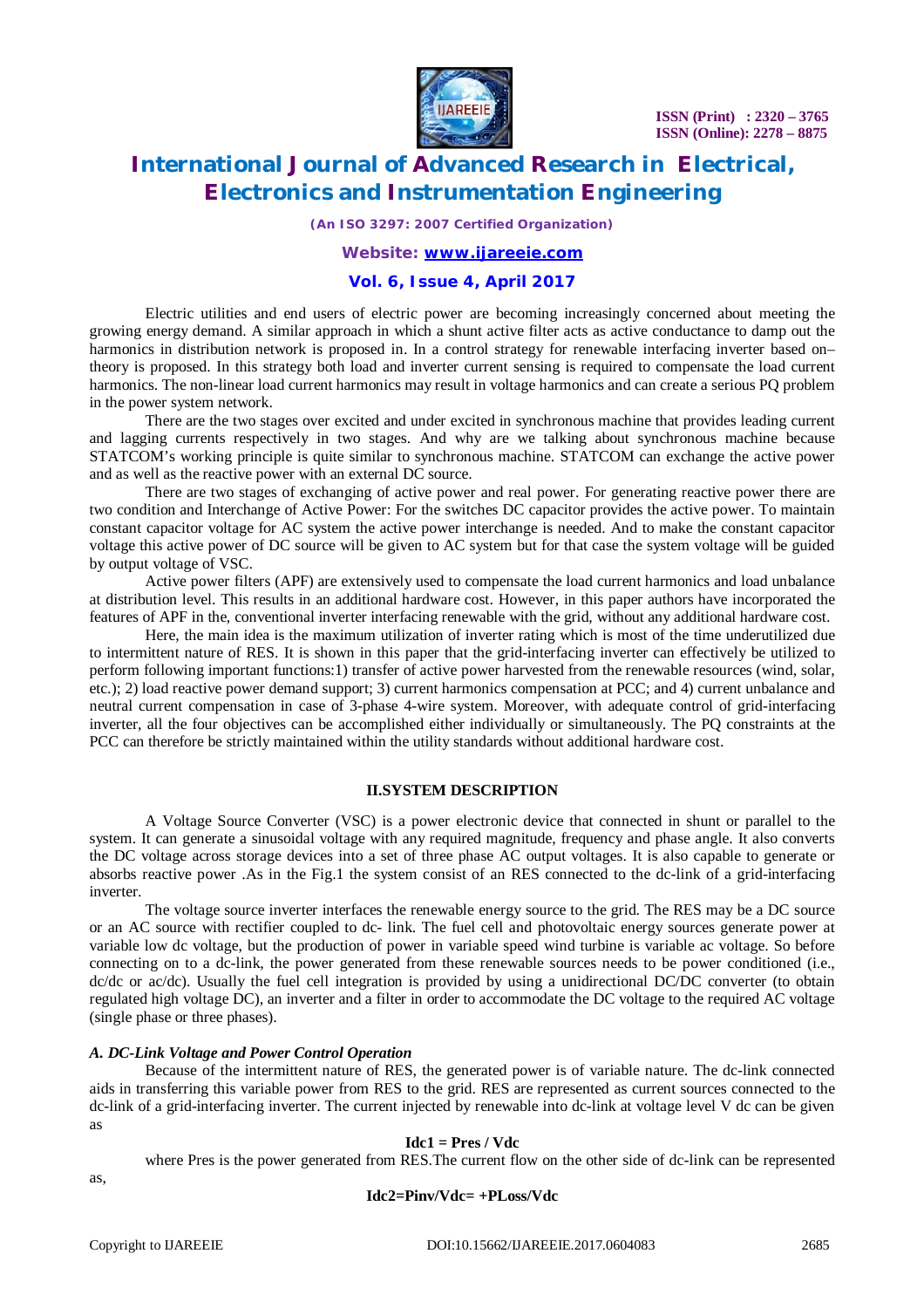

**ISSN (Print) : 2320 – 3765 ISSN (Online): 2278 – 8875**

# **International Journal of Advanced Research in Electrical, Electronics and Instrumentation Engineering**

*(An ISO 3297: 2007 Certified Organization)*

### *Website: [www.ijareeie.com](http://www.ijareeie.com)*

### **Vol. 6, Issue 4, April 2017**

Electric utilities and end users of electric power are becoming increasingly concerned about meeting the growing energy demand. A similar approach in which a shunt active filter acts as active conductance to damp out the harmonics in distribution network is proposed in. In a control strategy for renewable interfacing inverter based on– theory is proposed. In this strategy both load and inverter current sensing is required to compensate the load current harmonics. The non-linear load current harmonics may result in voltage harmonics and can create a serious PQ problem in the power system network.

There are the two stages over excited and under excited in synchronous machine that provides leading current and lagging currents respectively in two stages. And why are we talking about synchronous machine because STATCOM's working principle is quite similar to synchronous machine. STATCOM can exchange the active power and as well as the reactive power with an external DC source.

There are two stages of exchanging of active power and real power. For generating reactive power there are two condition and Interchange of Active Power: For the switches DC capacitor provides the active power. To maintain constant capacitor voltage for AC system the active power interchange is needed. And to make the constant capacitor voltage this active power of DC source will be given to AC system but for that case the system voltage will be guided by output voltage of VSC.

Active power filters (APF) are extensively used to compensate the load current harmonics and load unbalance at distribution level. This results in an additional hardware cost. However, in this paper authors have incorporated the features of APF in the, conventional inverter interfacing renewable with the grid, without any additional hardware cost.

Here, the main idea is the maximum utilization of inverter rating which is most of the time underutilized due to intermittent nature of RES. It is shown in this paper that the grid-interfacing inverter can effectively be utilized to perform following important functions:1) transfer of active power harvested from the renewable resources (wind, solar, etc.); 2) load reactive power demand support; 3) current harmonics compensation at PCC; and 4) current unbalance and neutral current compensation in case of 3-phase 4-wire system. Moreover, with adequate control of grid-interfacing inverter, all the four objectives can be accomplished either individually or simultaneously. The PQ constraints at the PCC can therefore be strictly maintained within the utility standards without additional hardware cost.

### **II.SYSTEM DESCRIPTION**

A Voltage Source Converter (VSC) is a power electronic device that connected in shunt or parallel to the system. It can generate a sinusoidal voltage with any required magnitude, frequency and phase angle. It also converts the DC voltage across storage devices into a set of three phase AC output voltages. It is also capable to generate or absorbs reactive power .As in the Fig.1 the system consist of an RES connected to the dc-link of a grid-interfacing inverter.

The voltage source inverter interfaces the renewable energy source to the grid. The RES may be a DC source or an AC source with rectifier coupled to dc- link. The fuel cell and photovoltaic energy sources generate power at variable low dc voltage, but the production of power in variable speed wind turbine is variable ac voltage. So before connecting on to a dc-link, the power generated from these renewable sources needs to be power conditioned (i.e., dc/dc or ac/dc). Usually the fuel cell integration is provided by using a unidirectional DC/DC converter (to obtain regulated high voltage DC), an inverter and a filter in order to accommodate the DC voltage to the required AC voltage (single phase or three phases).

#### *A. DC-Link Voltage and Power Control Operation*

Because of the intermittent nature of RES, the generated power is of variable nature. The dc-link connected aids in transferring this variable power from RES to the grid. RES are represented as current sources connected to the dc-link of a grid-interfacing inverter. The current injected by renewable into dc-link at voltage level V dc can be given as

#### **Idc1 = Pres / Vdc**

where Pres is the power generated from RES.The current flow on the other side of dc-link can be represented

as,

#### **Idc2=Pinv/Vdc= +PLoss/Vdc**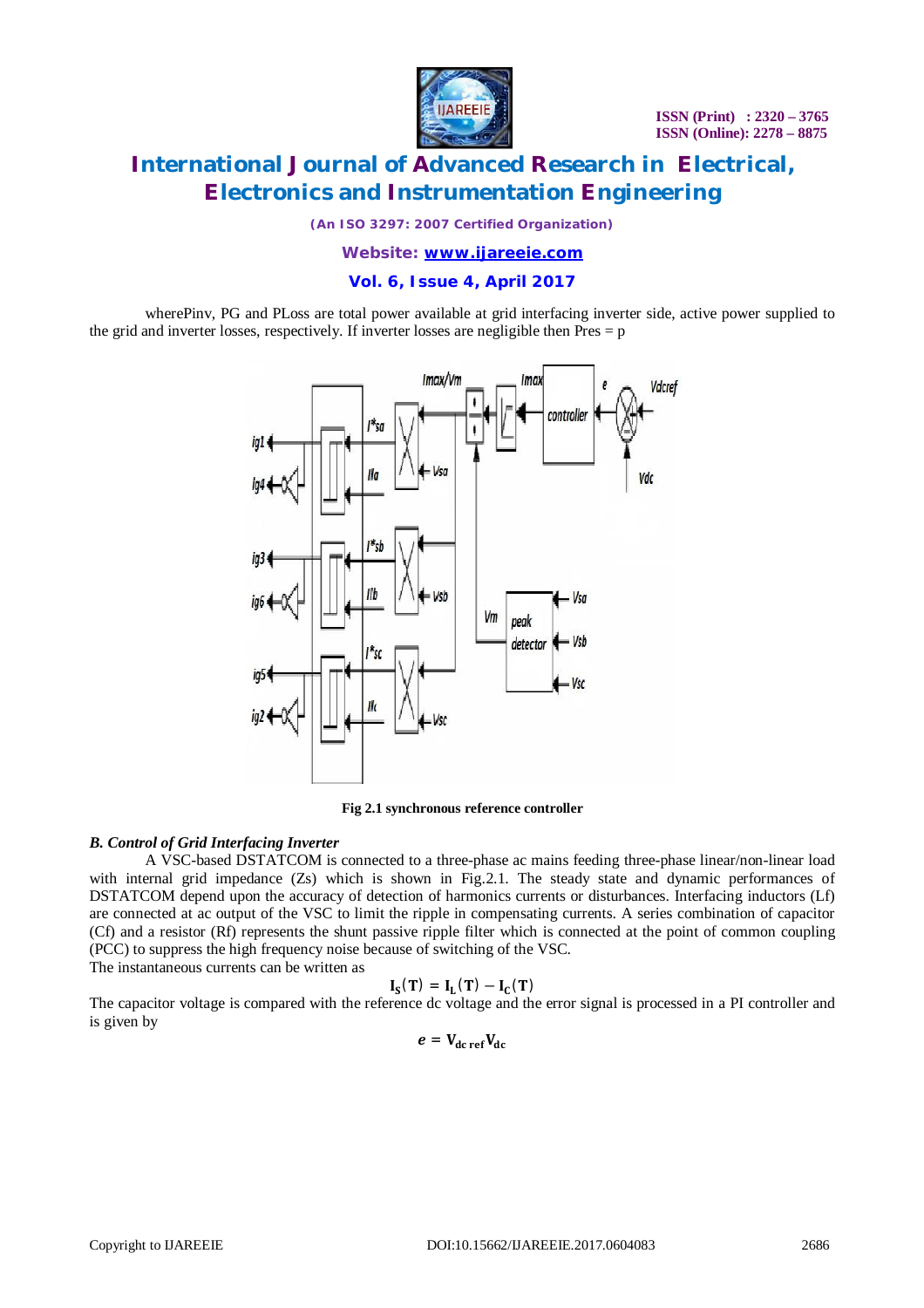

## **International Journal of Advanced Research in Electrical, Electronics and Instrumentation Engineering**

*(An ISO 3297: 2007 Certified Organization)*

*Website: [www.ijareeie.com](http://www.ijareeie.com)*

### **Vol. 6, Issue 4, April 2017**

wherePinv, PG and PLoss are total power available at grid interfacing inverter side, active power supplied to the grid and inverter losses, respectively. If inverter losses are negligible then Pres = p



**Fig 2.1 synchronous reference controller**

### *B. Control of Grid Interfacing Inverter*

A VSC-based DSTATCOM is connected to a three-phase ac mains feeding three-phase linear/non-linear load with internal grid impedance (Zs) which is shown in Fig.2.1. The steady state and dynamic performances of DSTATCOM depend upon the accuracy of detection of harmonics currents or disturbances. Interfacing inductors (Lf) are connected at ac output of the VSC to limit the ripple in compensating currents. A series combination of capacitor (Cf) and a resistor (Rf) represents the shunt passive ripple filter which is connected at the point of common coupling (PCC) to suppress the high frequency noise because of switching of the VSC.

The instantaneous currents can be written as

$$
I_S(T)\,=\,I_L(T)-I_C(T)
$$

The capacitor voltage is compared with the reference dc voltage and the error signal is processed in a PI controller and is given by

$$
e = V_{dc\,ref}V_{dc}
$$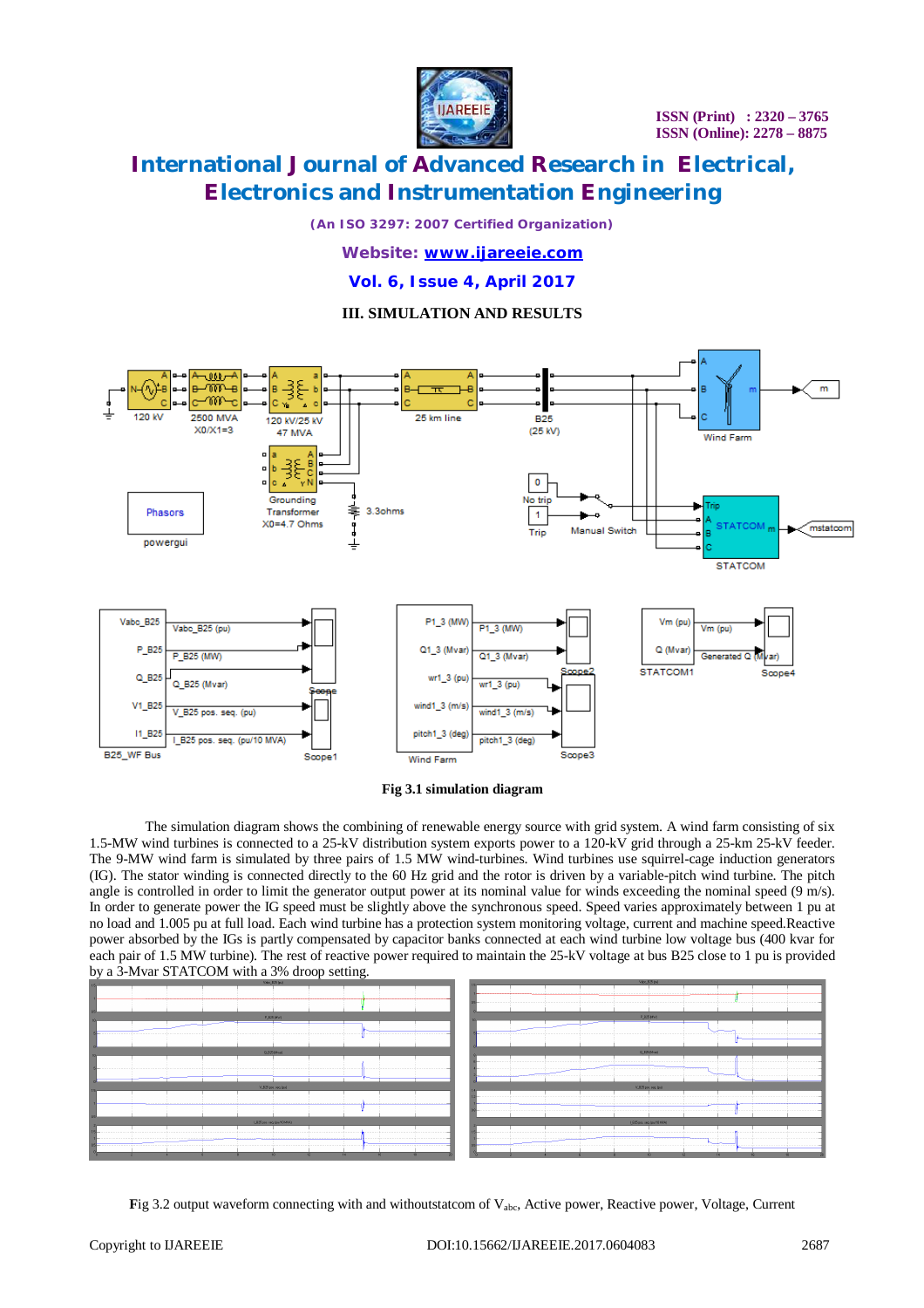

# **International Journal of Advanced Research in Electrical, Electronics and Instrumentation Engineering**

*(An ISO 3297: 2007 Certified Organization)*

### *Website: [www.ijareeie.com](http://www.ijareeie.com)*

**Vol. 6, Issue 4, April 2017**

### **III. SIMULATION AND RESULTS**





The simulation diagram shows the combining of renewable energy source with grid system. A wind farm consisting of six 1.5-MW wind turbines is connected to a 25-kV distribution system exports power to a 120-kV grid through a 25-km 25-kV feeder. The 9-MW wind farm is simulated by three pairs of 1.5 MW wind-turbines. Wind turbines use squirrel-cage induction generators (IG). The stator winding is connected directly to the 60 Hz grid and the rotor is driven by a variable-pitch wind turbine. The pitch angle is controlled in order to limit the generator output power at its nominal value for winds exceeding the nominal speed (9 m/s). In order to generate power the IG speed must be slightly above the synchronous speed. Speed varies approximately between 1 pu at no load and 1.005 pu at full load. Each wind turbine has a protection system monitoring voltage, current and machine speed.Reactive power absorbed by the IGs is partly compensated by capacitor banks connected at each wind turbine low voltage bus (400 kvar for each pair of 1.5 MW turbine). The rest of reactive power required to maintain the 25-kV voltage at bus B25 close to 1 pu is provided by a 3-Mvar STATCOM with a 3% droop setting.

| $\sigma$ a 3-M var $\sigma$ 1711 COM with a 3% droop setting. |                            |
|---------------------------------------------------------------|----------------------------|
| Valid_025 (pu)                                                | Vac.125 pd                 |
|                                                               |                            |
|                                                               |                            |
|                                                               |                            |
|                                                               |                            |
|                                                               |                            |
| P_025 (Mw)                                                    | P_R25 (MW)                 |
|                                                               |                            |
|                                                               |                            |
|                                                               |                            |
|                                                               |                            |
|                                                               |                            |
| 0_025 (Mva)                                                   | 0.825 (Mva)                |
|                                                               |                            |
|                                                               |                            |
|                                                               |                            |
|                                                               |                            |
|                                                               |                            |
| V_R25 pos. seq (ps)                                           | V_R25 pos. seq (pu)        |
|                                                               |                            |
|                                                               |                            |
|                                                               |                            |
|                                                               |                            |
|                                                               |                            |
| LEZipos seg (pu/10 MW)                                        | LE25 pos. ceg. (pu/10 MVA) |
|                                                               |                            |
|                                                               |                            |
|                                                               |                            |
|                                                               |                            |
| 12<br>$\overline{\mathbf{u}}$<br>10                           | 14                         |
|                                                               |                            |

**Fig 3.2 output waveform connecting with and withoutstatcom of V<sub>abc</sub>, Active power, Reactive power, Voltage, Current**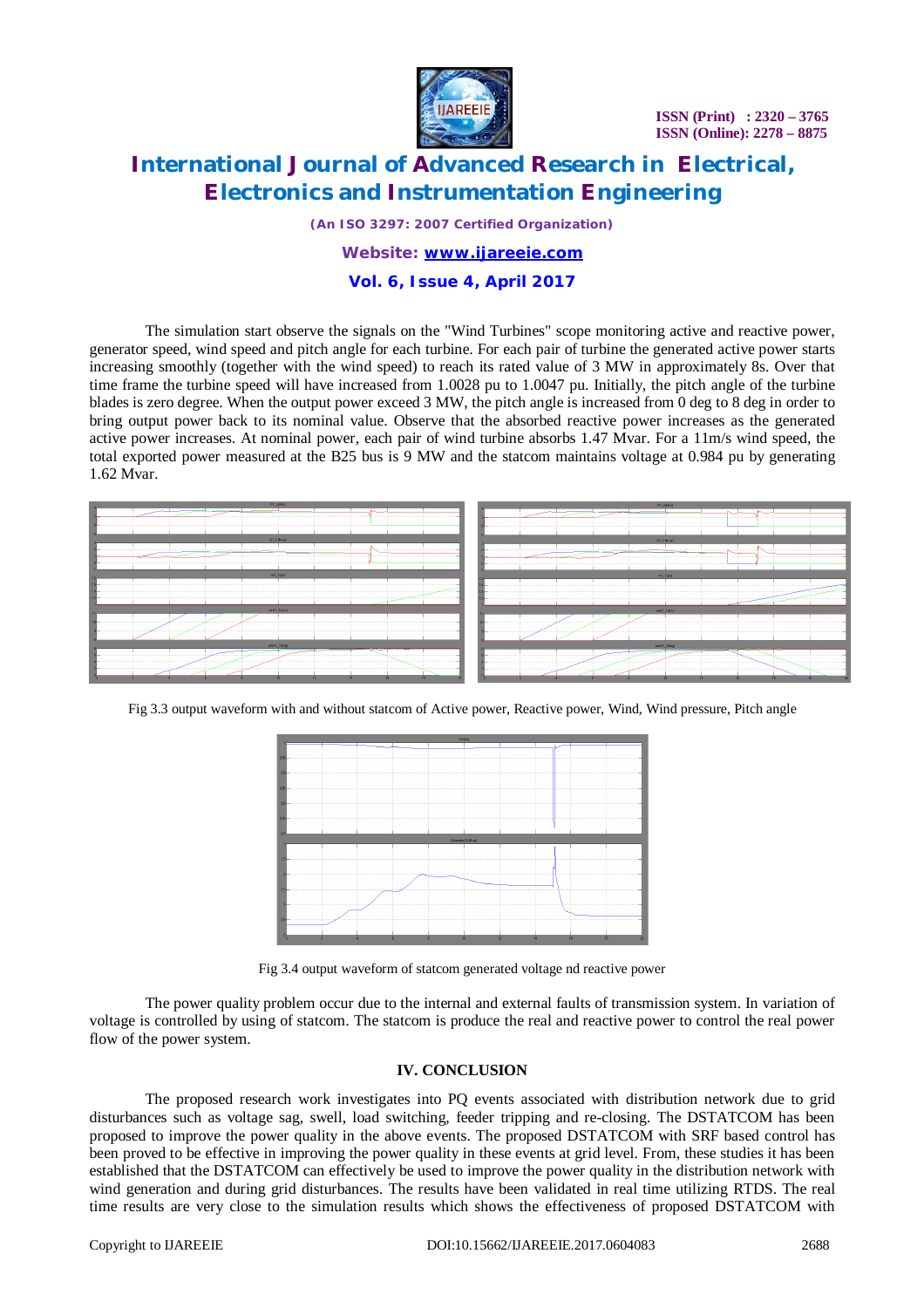

**ISSN (Print) : 2320 – 3765 ISSN (Online): 2278 – 8875**

# **International Journal of Advanced Research in Electrical, Electronics and Instrumentation Engineering**

*(An ISO 3297: 2007 Certified Organization)*

### *Website: [www.ijareeie.com](http://www.ijareeie.com)*

### **Vol. 6, Issue 4, April 2017**

The simulation start observe the signals on the "Wind Turbines" scope monitoring active and reactive power, generator speed, wind speed and pitch angle for each turbine. For each pair of turbine the generated active power starts increasing smoothly (together with the wind speed) to reach its rated value of 3 MW in approximately 8s. Over that time frame the turbine speed will have increased from 1.0028 pu to 1.0047 pu. Initially, the pitch angle of the turbine blades is zero degree. When the output power exceed 3 MW, the pitch angle is increased from 0 deg to 8 deg in order to bring output power back to its nominal value. Observe that the absorbed reactive power increases as the generated active power increases. At nominal power, each pair of wind turbine absorbs 1.47 Mvar. For a 11m/s wind speed, the total exported power measured at the B25 bus is 9 MW and the statcom maintains voltage at 0.984 pu by generating 1.62 Mvar.



Fig 3.3 output waveform with and without statcom of Active power, Reactive power, Wind, Wind pressure, Pitch angle



Fig 3.4 output waveform of statcom generated voltage nd reactive power

The power quality problem occur due to the internal and external faults of transmission system. In variation of voltage is controlled by using of statcom. The statcom is produce the real and reactive power to control the real power flow of the power system.

### **IV. CONCLUSION**

The proposed research work investigates into PQ events associated with distribution network due to grid disturbances such as voltage sag, swell, load switching, feeder tripping and re-closing. The DSTATCOM has been proposed to improve the power quality in the above events. The proposed DSTATCOM with SRF based control has been proved to be effective in improving the power quality in these events at grid level. From, these studies it has been established that the DSTATCOM can effectively be used to improve the power quality in the distribution network with wind generation and during grid disturbances. The results have been validated in real time utilizing RTDS. The real time results are very close to the simulation results which shows the effectiveness of proposed DSTATCOM with